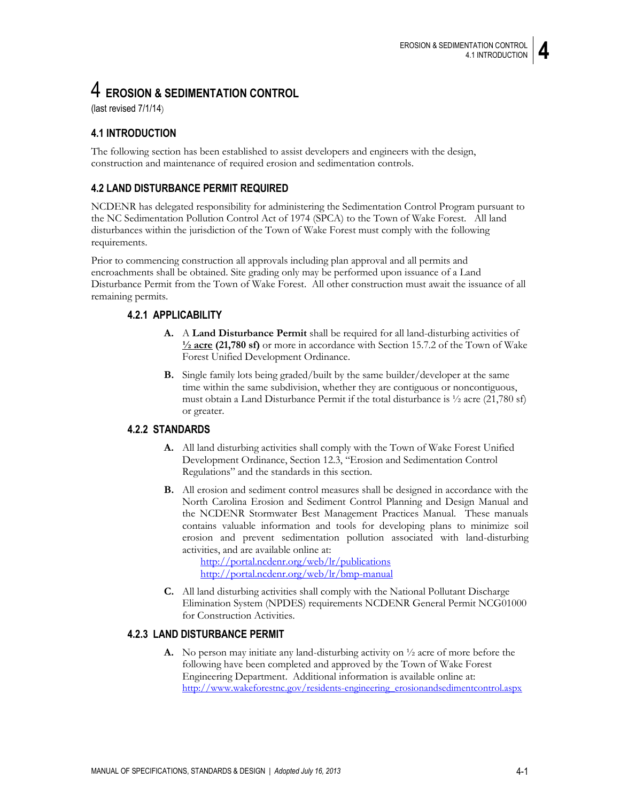# 4 **EROSION & SEDIMENTATION CONTROL**

(last revised 7/1/14)

# **4.1 INTRODUCTION**

The following section has been established to assist developers and engineers with the design, construction and maintenance of required erosion and sedimentation controls.

# **4.2 LAND DISTURBANCE PERMIT REQUIRED**

NCDENR has delegated responsibility for administering the Sedimentation Control Program pursuant to the NC Sedimentation Pollution Control Act of 1974 (SPCA) to the Town of Wake Forest. All land disturbances within the jurisdiction of the Town of Wake Forest must comply with the following requirements.

Prior to commencing construction all approvals including plan approval and all permits and encroachments shall be obtained. Site grading only may be performed upon issuance of a Land Disturbance Permit from the Town of Wake Forest. All other construction must await the issuance of all remaining permits.

## **4.2.1 APPLICABILITY**

- **A.** A **Land Disturbance Permit** shall be required for all land-disturbing activities of **½ acre (21,780 sf)** or more in accordance with Section 15.7.2 of the Town of Wake Forest Unified Development Ordinance.
- **B.** Single family lots being graded/built by the same builder/developer at the same time within the same subdivision, whether they are contiguous or noncontiguous, must obtain a Land Disturbance Permit if the total disturbance is ½ acre (21,780 sf) or greater.

## **4.2.2 STANDARDS**

- **A.** All land disturbing activities shall comply with the Town of Wake Forest Unified Development Ordinance, Section 12.3, "Erosion and Sedimentation Control Regulations" and the standards in this section.
- **B.** All erosion and sediment control measures shall be designed in accordance with the North Carolina Erosion and Sediment Control Planning and Design Manual and the NCDENR Stormwater Best Management Practices Manual. These manuals contains valuable information and tools for developing plans to minimize soil erosion and prevent sedimentation pollution associated with land-disturbing activities, and are available online at:

<http://portal.ncdenr.org/web/lr/publications> <http://portal.ncdenr.org/web/lr/bmp-manual>

**C.** All land disturbing activities shall comply with the National Pollutant Discharge Elimination System (NPDES) requirements NCDENR General Permit NCG01000 for Construction Activities.

## **4.2.3 LAND DISTURBANCE PERMIT**

**A.** No person may initiate any land-disturbing activity on ½ acre of more before the following have been completed and approved by the Town of Wake Forest Engineering Department. Additional information is available online at: [http://www.wakeforestnc.gov/residents-engineering\\_erosionandsedimentcontrol.aspx](http://www.wakeforestnc.gov/residents-engineering_erosionandsedimentcontrol.aspx)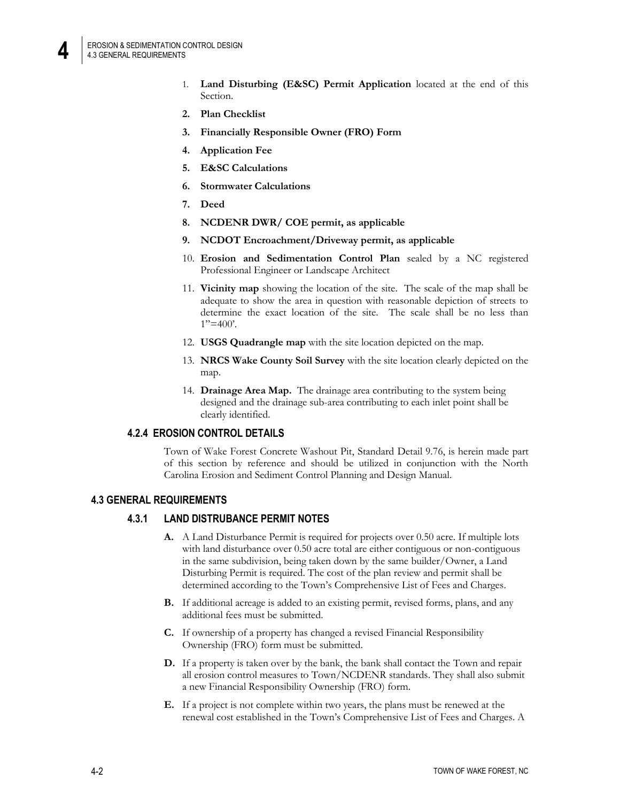- 1. **Land Disturbing (E&SC) Permit Application** located at the end of this Section.
- **2. Plan Checklist**
- **3. Financially Responsible Owner (FRO) Form**
- **4. Application Fee**
- **5. E&SC Calculations**
- **6. Stormwater Calculations**
- **7. Deed**
- **8. NCDENR DWR/ COE permit, as applicable**
- **9. NCDOT Encroachment/Driveway permit, as applicable**
- 10. **Erosion and Sedimentation Control Plan** sealed by a NC registered Professional Engineer or Landscape Architect
- 11. **Vicinity map** showing the location of the site. The scale of the map shall be adequate to show the area in question with reasonable depiction of streets to determine the exact location of the site. The scale shall be no less than  $1" = 400'$ .
- 12. **USGS Quadrangle map** with the site location depicted on the map.
- 13. **NRCS Wake County Soil Survey** with the site location clearly depicted on the map.
- 14. **Drainage Area Map.** The drainage area contributing to the system being designed and the drainage sub-area contributing to each inlet point shall be clearly identified.

## **4.2.4 EROSION CONTROL DETAILS**

Town of Wake Forest Concrete Washout Pit, Standard Detail 9.76, is herein made part of this section by reference and should be utilized in conjunction with the North Carolina Erosion and Sediment Control Planning and Design Manual.

#### **4.3 GENERAL REQUIREMENTS**

## **4.3.1 LAND DISTRUBANCE PERMIT NOTES**

- **A.** A Land Disturbance Permit is required for projects over 0.50 acre. If multiple lots with land disturbance over 0.50 acre total are either contiguous or non-contiguous in the same subdivision, being taken down by the same builder/Owner, a Land Disturbing Permit is required. The cost of the plan review and permit shall be determined according to the Town's Comprehensive List of Fees and Charges.
- **B.** If additional acreage is added to an existing permit, revised forms, plans, and any additional fees must be submitted.
- **C.** If ownership of a property has changed a revised Financial Responsibility Ownership (FRO) form must be submitted.
- **D.** If a property is taken over by the bank, the bank shall contact the Town and repair all erosion control measures to Town/NCDENR standards. They shall also submit a new Financial Responsibility Ownership (FRO) form.
- **E.** If a project is not complete within two years, the plans must be renewed at the renewal cost established in the Town's Comprehensive List of Fees and Charges. A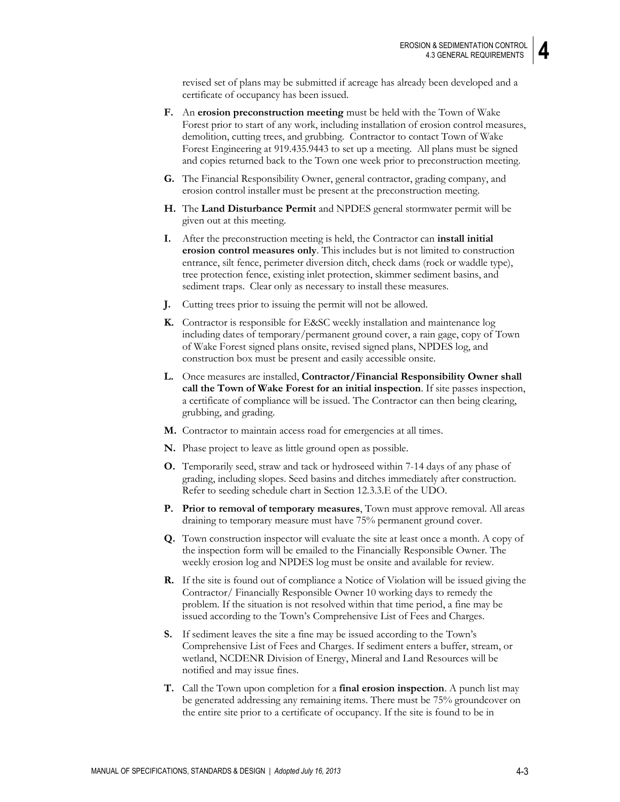revised set of plans may be submitted if acreage has already been developed and a certificate of occupancy has been issued.

- **F.** An **erosion preconstruction meeting** must be held with the Town of Wake Forest prior to start of any work, including installation of erosion control measures, demolition, cutting trees, and grubbing. Contractor to contact Town of Wake Forest Engineering at 919.435.9443 to set up a meeting. All plans must be signed and copies returned back to the Town one week prior to preconstruction meeting.
- **G.** The Financial Responsibility Owner, general contractor, grading company, and erosion control installer must be present at the preconstruction meeting.
- **H.** The **Land Disturbance Permit** and NPDES general stormwater permit will be given out at this meeting.
- **I.** After the preconstruction meeting is held, the Contractor can **install initial erosion control measures only**. This includes but is not limited to construction entrance, silt fence, perimeter diversion ditch, check dams (rock or waddle type), tree protection fence, existing inlet protection, skimmer sediment basins, and sediment traps. Clear only as necessary to install these measures.
- **J.** Cutting trees prior to issuing the permit will not be allowed.
- **K.** Contractor is responsible for E&SC weekly installation and maintenance log including dates of temporary/permanent ground cover, a rain gage, copy of Town of Wake Forest signed plans onsite, revised signed plans, NPDES log, and construction box must be present and easily accessible onsite.
- **L.** Once measures are installed, **Contractor/Financial Responsibility Owner shall call the Town of Wake Forest for an initial inspection**. If site passes inspection, a certificate of compliance will be issued. The Contractor can then being clearing, grubbing, and grading.
- **M.** Contractor to maintain access road for emergencies at all times.
- **N.** Phase project to leave as little ground open as possible.
- **O.** Temporarily seed, straw and tack or hydroseed within 7-14 days of any phase of grading, including slopes. Seed basins and ditches immediately after construction. Refer to seeding schedule chart in Section 12.3.3.E of the UDO.
- **P. Prior to removal of temporary measures**, Town must approve removal. All areas draining to temporary measure must have 75% permanent ground cover.
- **Q.** Town construction inspector will evaluate the site at least once a month. A copy of the inspection form will be emailed to the Financially Responsible Owner. The weekly erosion log and NPDES log must be onsite and available for review.
- **R.** If the site is found out of compliance a Notice of Violation will be issued giving the Contractor/ Financially Responsible Owner 10 working days to remedy the problem. If the situation is not resolved within that time period, a fine may be issued according to the Town's Comprehensive List of Fees and Charges.
- **S.** If sediment leaves the site a fine may be issued according to the Town's Comprehensive List of Fees and Charges. If sediment enters a buffer, stream, or wetland, NCDENR Division of Energy, Mineral and Land Resources will be notified and may issue fines.
- **T.** Call the Town upon completion for a **final erosion inspection**. A punch list may be generated addressing any remaining items. There must be 75% groundcover on the entire site prior to a certificate of occupancy. If the site is found to be in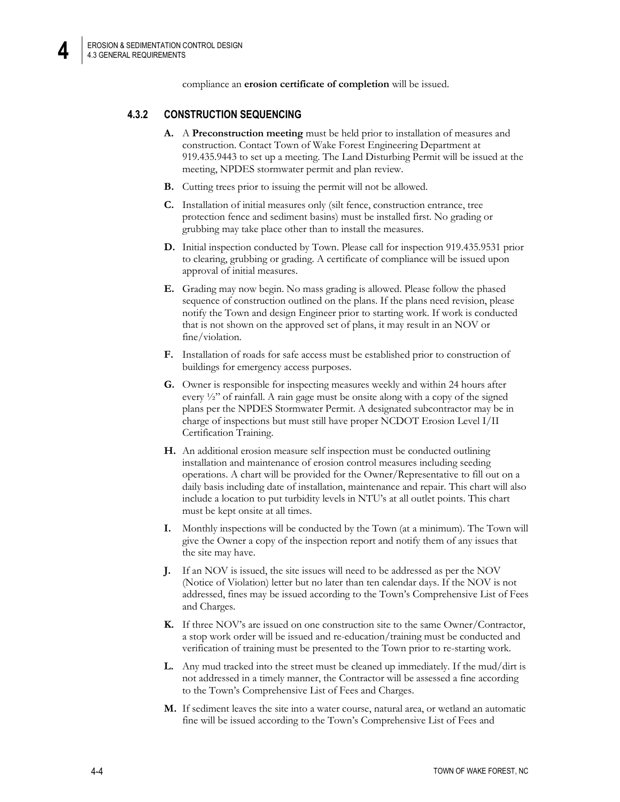**4**

compliance an **erosion certificate of completion** will be issued.

## **4.3.2 CONSTRUCTION SEQUENCING**

- **A.** A **Preconstruction meeting** must be held prior to installation of measures and construction. Contact Town of Wake Forest Engineering Department at 919.435.9443 to set up a meeting. The Land Disturbing Permit will be issued at the meeting, NPDES stormwater permit and plan review.
- **B.** Cutting trees prior to issuing the permit will not be allowed.
- **C.** Installation of initial measures only (silt fence, construction entrance, tree protection fence and sediment basins) must be installed first. No grading or grubbing may take place other than to install the measures.
- **D.** Initial inspection conducted by Town. Please call for inspection 919.435.9531 prior to clearing, grubbing or grading. A certificate of compliance will be issued upon approval of initial measures.
- **E.** Grading may now begin. No mass grading is allowed. Please follow the phased sequence of construction outlined on the plans. If the plans need revision, please notify the Town and design Engineer prior to starting work. If work is conducted that is not shown on the approved set of plans, it may result in an NOV or fine/violation.
- **F.** Installation of roads for safe access must be established prior to construction of buildings for emergency access purposes.
- **G.** Owner is responsible for inspecting measures weekly and within 24 hours after every  $\frac{1}{2}$ " of rainfall. A rain gage must be onsite along with a copy of the signed plans per the NPDES Stormwater Permit. A designated subcontractor may be in charge of inspections but must still have proper NCDOT Erosion Level I/II Certification Training.
- **H.** An additional erosion measure self inspection must be conducted outlining installation and maintenance of erosion control measures including seeding operations. A chart will be provided for the Owner/Representative to fill out on a daily basis including date of installation, maintenance and repair. This chart will also include a location to put turbidity levels in NTU's at all outlet points. This chart must be kept onsite at all times.
- **I.** Monthly inspections will be conducted by the Town (at a minimum). The Town will give the Owner a copy of the inspection report and notify them of any issues that the site may have.
- **J.** If an NOV is issued, the site issues will need to be addressed as per the NOV (Notice of Violation) letter but no later than ten calendar days. If the NOV is not addressed, fines may be issued according to the Town's Comprehensive List of Fees and Charges.
- **K.** If three NOV's are issued on one construction site to the same Owner/Contractor, a stop work order will be issued and re-education/training must be conducted and verification of training must be presented to the Town prior to re-starting work.
- **L.** Any mud tracked into the street must be cleaned up immediately. If the mud/dirt is not addressed in a timely manner, the Contractor will be assessed a fine according to the Town's Comprehensive List of Fees and Charges.
- **M.** If sediment leaves the site into a water course, natural area, or wetland an automatic fine will be issued according to the Town's Comprehensive List of Fees and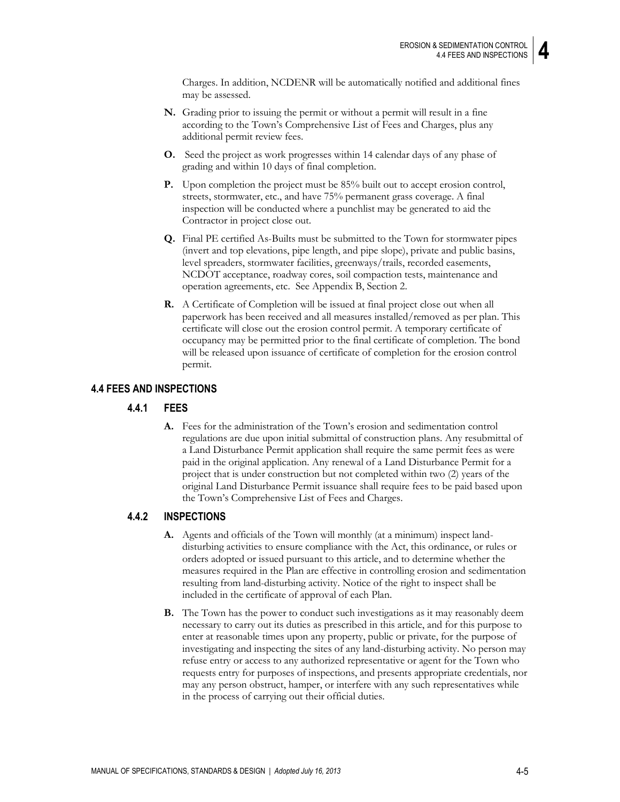Charges. In addition, NCDENR will be automatically notified and additional fines may be assessed.

- **N.** Grading prior to issuing the permit or without a permit will result in a fine according to the Town's Comprehensive List of Fees and Charges, plus any additional permit review fees.
- **O.** Seed the project as work progresses within 14 calendar days of any phase of grading and within 10 days of final completion.
- **P.** Upon completion the project must be 85% built out to accept erosion control, streets, stormwater, etc., and have 75% permanent grass coverage. A final inspection will be conducted where a punchlist may be generated to aid the Contractor in project close out.
- **Q.** Final PE certified As-Builts must be submitted to the Town for stormwater pipes (invert and top elevations, pipe length, and pipe slope), private and public basins, level spreaders, stormwater facilities, greenways/trails, recorded easements, NCDOT acceptance, roadway cores, soil compaction tests, maintenance and operation agreements, etc. See Appendix B, Section 2.
- **R.** A Certificate of Completion will be issued at final project close out when all paperwork has been received and all measures installed/removed as per plan. This certificate will close out the erosion control permit. A temporary certificate of occupancy may be permitted prior to the final certificate of completion. The bond will be released upon issuance of certificate of completion for the erosion control permit.

#### **4.4 FEES AND INSPECTIONS**

#### **4.4.1 FEES**

**A.** Fees for the administration of the Town's erosion and sedimentation control regulations are due upon initial submittal of construction plans. Any resubmittal of a Land Disturbance Permit application shall require the same permit fees as were paid in the original application. Any renewal of a Land Disturbance Permit for a project that is under construction but not completed within two (2) years of the original Land Disturbance Permit issuance shall require fees to be paid based upon the Town's Comprehensive List of Fees and Charges.

#### **4.4.2 INSPECTIONS**

- **A.** Agents and officials of the Town will monthly (at a minimum) inspect landdisturbing activities to ensure compliance with the Act, this ordinance, or rules or orders adopted or issued pursuant to this article, and to determine whether the measures required in the Plan are effective in controlling erosion and sedimentation resulting from land-disturbing activity. Notice of the right to inspect shall be included in the certificate of approval of each Plan.
- **B.** The Town has the power to conduct such investigations as it may reasonably deem necessary to carry out its duties as prescribed in this article, and for this purpose to enter at reasonable times upon any property, public or private, for the purpose of investigating and inspecting the sites of any land-disturbing activity. No person may refuse entry or access to any authorized representative or agent for the Town who requests entry for purposes of inspections, and presents appropriate credentials, nor may any person obstruct, hamper, or interfere with any such representatives while in the process of carrying out their official duties.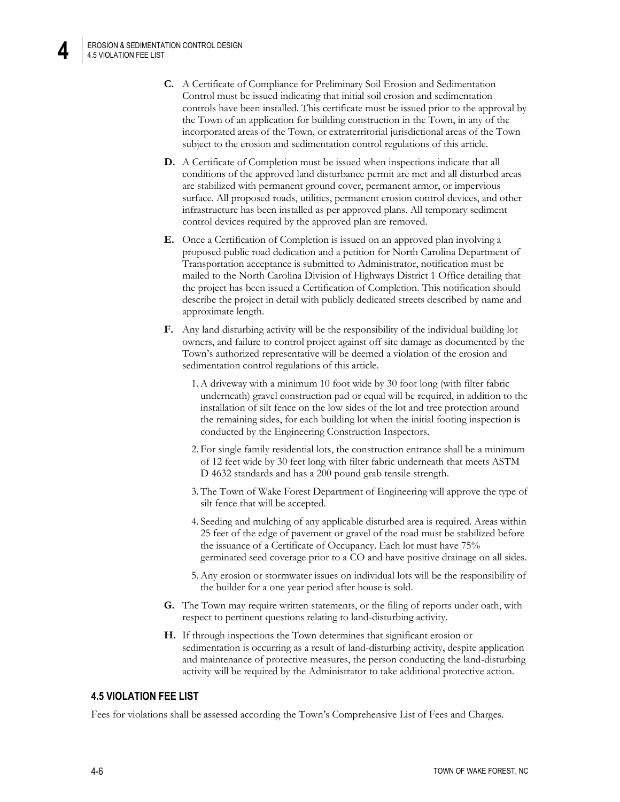**4**

- **C.** A Certificate of Compliance for Preliminary Soil Erosion and Sedimentation Control must be issued indicating that initial soil erosion and sedimentation controls have been installed. This certificate must be issued prior to the approval by the Town of an application for building construction in the Town, in any of the incorporated areas of the Town, or extraterritorial jurisdictional areas of the Town subject to the erosion and sedimentation control regulations of this article.
- **D.** A Certificate of Completion must be issued when inspections indicate that all conditions of the approved land disturbance permit are met and all disturbed areas are stabilized with permanent ground cover, permanent armor, or impervious surface. All proposed roads, utilities, permanent erosion control devices, and other infrastructure has been installed as per approved plans. All temporary sediment control devices required by the approved plan are removed.
- **E.** Once a Certification of Completion is issued on an approved plan involving a proposed public road dedication and a petition for North Carolina Department of Transportation acceptance is submitted to Administrator, notification must be mailed to the North Carolina Division of Highways District 1 Office detailing that the project has been issued a Certification of Completion. This notification should describe the project in detail with publicly dedicated streets described by name and approximate length.
- **F.** Any land disturbing activity will be the responsibility of the individual building lot owners, and failure to control project against off site damage as documented by the Town's authorized representative will be deemed a violation of the erosion and sedimentation control regulations of this article.
	- 1.A driveway with a minimum 10 foot wide by 30 foot long (with filter fabric underneath) gravel construction pad or equal will be required, in addition to the installation of silt fence on the low sides of the lot and tree protection around the remaining sides, for each building lot when the initial footing inspection is conducted by the Engineering Construction Inspectors.
	- 2. For single family residential lots, the construction entrance shall be a minimum of 12 feet wide by 30 feet long with filter fabric underneath that meets ASTM D 4632 standards and has a 200 pound grab tensile strength.
	- 3. The Town of Wake Forest Department of Engineering will approve the type of silt fence that will be accepted.
	- 4. Seeding and mulching of any applicable disturbed area is required. Areas within 25 feet of the edge of pavement or gravel of the road must be stabilized before the issuance of a Certificate of Occupancy. Each lot must have 75% germinated seed coverage prior to a CO and have positive drainage on all sides.
	- 5.Any erosion or stormwater issues on individual lots will be the responsibility of the builder for a one year period after house is sold.
- **G.** The Town may require written statements, or the filing of reports under oath, with respect to pertinent questions relating to land-disturbing activity.
- **H.** If through inspections the Town determines that significant erosion or sedimentation is occurring as a result of land-disturbing activity, despite application and maintenance of protective measures, the person conducting the land-disturbing activity will be required by the Administrator to take additional protective action.

## **4.5 VIOLATION FEE LIST**

Fees for violations shall be assessed according the Town's Comprehensive List of Fees and Charges.